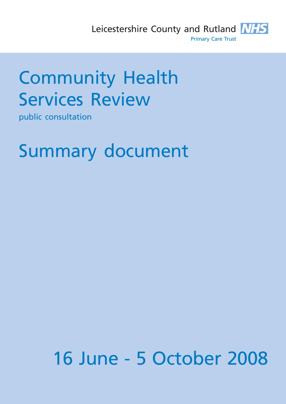

# Community Health Services Review

public consultation

# Summary document

# 16 June - 5 October 2008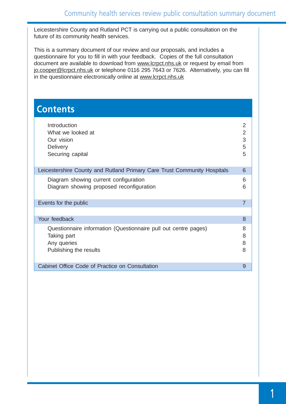Leicestershire County and Rutland PCT is carrying out a public consultation on the future of its community health services.

This is a summary document of our review and our proposals, and includes a questionnaire for you to fill in with your feedback. Copies of the full consultation document are available to download from www.lcrpct.nhs.uk or request by email from jo.cooper@lcrpct.nhs.uk or telephone 0116 295 7643 or 7626. Alternatively, you can fill in the questionnaire electronically online at www.lcrpct.nhs.uk

## **Contents**

| Introduction<br>What we looked at<br>Our vision<br><b>Delivery</b><br>Securing capital                                  | 2<br>$\overline{2}$<br>3<br>5<br>5 |
|-------------------------------------------------------------------------------------------------------------------------|------------------------------------|
| Leicestershire County and Rutland Primary Care Trust Community Hospitals                                                | 6                                  |
| Diagram showing current configuration<br>Diagram showing proposed reconfiguration                                       | 6<br>6                             |
| Events for the public                                                                                                   | $\overline{7}$                     |
|                                                                                                                         |                                    |
| Your feedback                                                                                                           | 8                                  |
| Questionnaire information (Questionnaire pull out centre pages)<br>Taking part<br>Any queries<br>Publishing the results | 8<br>8<br>8<br>8                   |
| Cabinet Office Code of Practice on Consultation                                                                         | 9                                  |
|                                                                                                                         |                                    |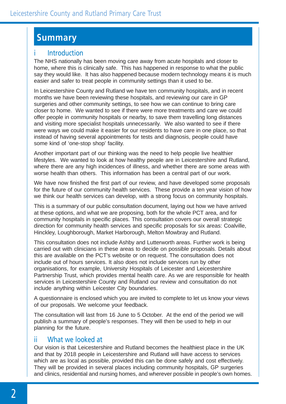## **Summary**

#### **Introduction**

The NHS nationally has been moving care away from acute hospitals and closer to home, where this is clinically safe. This has happened in response to what the public say they would like. It has also happened because modern technology means it is much easier and safer to treat people in community settings than it used to be.

In Leicestershire County and Rutland we have ten community hospitals, and in recent months we have been reviewing these hospitals, and reviewing our care in GP surgeries and other community settings, to see how we can continue to bring care closer to home. We wanted to see if there were more treatments and care we could offer people in community hospitals or nearby, to save them travelling long distances and visiting more specialist hospitals unnecessarily. We also wanted to see if there were ways we could make it easier for our residents to have care in one place, so that instead of having several appointments for tests and diagnosis, people could have some kind of 'one-stop shop' facility.

Another important part of our thinking was the need to help people live healthier lifestyles. We wanted to look at how healthy people are in Leicestershire and Rutland, where there are any high incidences of illness, and whether there are some areas with worse health than others. This information has been a central part of our work.

We have now finished the first part of our review, and have developed some proposals for the future of our community health services. These provide a ten year vision of how we think our health services can develop, with a strong focus on community hospitals.

This is a summary of our public consultation document, laying out how we have arrived at these options, and what we are proposing, both for the whole PCT area, and for community hospitals in specific places. This consultation covers our overall strategic direction for community health services and specific proposals for six areas: Coalville, Hinckley, Loughborough, Market Harborough, Melton Mowbray and Rutland.

This consultation does not include Ashby and Lutterworth areas. Further work is being carried out with clinicians in these areas to decide on possible proposals. Details about this are available on the PCT's website or on request. The consultation does not include out of hours services. It also does not include services run by other organisations, for example, University Hospitals of Leicester and Leicestershire Partnership Trust, which provides mental health care. As we are responsible for health services in Leicestershire County and Rutland our review and consultation do not include anything within Leicester City boundaries.

A questionnaire is enclosed which you are invited to complete to let us know your views of our proposals. We welcome your feedback.

The consultation will last from 16 June to 5 October. At the end of the period we will publish a summary of people's responses. They will then be used to help in our planning for the future.

### ii What we looked at

Our vision is that Leicestershire and Rutland becomes the healthiest place in the UK and that by 2018 people in Leicestershire and Rutland will have access to services which are as local as possible, provided this can be done safely and cost effectively. They will be provided in several places including community hospitals, GP surgeries and clinics, residential and nursing homes, and wherever possible in people's own homes.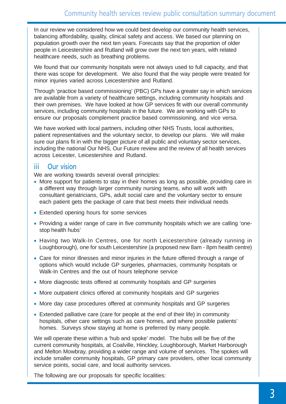In our review we considered how we could best develop our community health services, balancing affordability, quality, clinical safety and access. We based our planning on population growth over the next ten years. Forecasts say that the proportion of older people in Leicestershire and Rutland will grow over the next ten years, with related healthcare needs, such as breathing problems.

We found that our community hospitals were not always used to full capacity, and that there was scope for development. We also found that the way people were treated for minor injuries varied across Leicestershire and Rutland.

Through 'practice based commissioning' (PBC) GPs have a greater say in which services are available from a variety of healthcare settings, including community hospitals and their own premises. We have looked at how GP services fit with our overall community services, including community hospitals in the future. We are working with GPs to ensure our proposals complement practice based commissioning, and vice versa.

We have worked with local partners, including other NHS Trusts, local authorities, patient representatives and the voluntary sector, to develop our plans. We will make sure our plans fit in with the bigger picture of all public and voluntary sector services, including the national Our NHS, Our Future review and the review of all health services across Leicester, Leicestershire and Rutland.

#### iii Our vision

We are working towards several overall principles:

- More support for patients to stay in their homes as long as possible, providing care in a different way through larger community nursing teams, who will work with consultant geriatricians, GPs, adult social care and the voluntary sector to ensure each patient gets the package of care that best meets their individual needs
- Extended opening hours for some services
- Providing a wider range of care in five community hospitals which we are calling 'onestop health hubs'
- Having two Walk-In Centres, one for north Leicestershire (already running in Loughborough), one for south Leicestershire (a proposed new 8am - 8pm health centre)
- Care for minor illnesses and minor injuries in the future offered through a range of options which would include GP surgeries, pharmacies, community hospitals or Walk-In Centres and the out of hours telephone service
- More diagnostic tests offered at community hospitals and GP surgeries
- More outpatient clinics offered at community hospitals and GP surgeries
- More day case procedures offered at community hospitals and GP surgeries
- Extended palliative care (care for people at the end of their life) in community hospitals, other care settings such as care homes, and where possible patients' homes. Surveys show staying at home is preferred by many people.

We will operate these within a 'hub and spoke' model. The hubs will be five of the current community hospitals, at Coalville, Hinckley, Loughborough, Market Harborough and Melton Mowbray, providing a wider range and volume of services. The spokes will include smaller community hospitals, GP primary care providers, other local community service points, social care, and local authority services.

The following are our proposals for specific localities: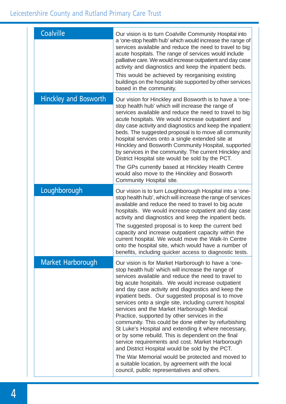| <b>Coalville</b>      | Our vision is to turn Coalville Community Hospital into<br>a 'one-stop health hub' which would increase the range of<br>services available and reduce the need to travel to big<br>acute hospitals. The range of services would include<br>palliative care. We would increase outpatient and day case<br>activity and diagnostics and keep the inpatient beds.<br>This would be achieved by reorganising existing<br>buildings on the hospital site supported by other services<br>based in the community.                                                                                                                                                                                                                                                                                                                                                                                                                   |
|-----------------------|------------------------------------------------------------------------------------------------------------------------------------------------------------------------------------------------------------------------------------------------------------------------------------------------------------------------------------------------------------------------------------------------------------------------------------------------------------------------------------------------------------------------------------------------------------------------------------------------------------------------------------------------------------------------------------------------------------------------------------------------------------------------------------------------------------------------------------------------------------------------------------------------------------------------------|
| Hinckley and Bosworth | Our vision for Hinckley and Bosworth is to have a 'one-<br>stop health hub' which will increase the range of<br>services available and reduce the need to travel to big<br>acute hospitals. We would increase outpatient and<br>day case activity and diagnostics and keep the inpatient<br>beds. The suggested proposal is to move all community<br>hospital services onto a single extended site at<br>Hinckley and Bosworth Community Hospital, supported<br>by services in the community. The current Hinckley and<br>District Hospital site would be sold by the PCT.<br>The GPs currently based at Hinckley Health Centre<br>would also move to the Hinckley and Bosworth<br>Community Hospital site.                                                                                                                                                                                                                  |
| Loughborough          | Our vision is to turn Loughborough Hospital into a 'one-<br>stop health hub', which will increase the range of services<br>available and reduce the need to travel to big acute<br>hospitals. We would increase outpatient and day case<br>activity and diagnostics and keep the inpatient beds.<br>The suggested proposal is to keep the current bed<br>capacity and increase outpatient capacity within the<br>current hospital. We would move the Walk-In Centre<br>onto the hospital site, which would have a number of<br>benefits, including quicker access to diagnostic tests.                                                                                                                                                                                                                                                                                                                                       |
| Market Harborough     | Our vision is for Market Harborough to have a 'one-<br>stop health hub' which will increase the range of<br>services available and reduce the need to travel to<br>big acute hospitals. We would increase outpatient<br>and day case activity and diagnostics and keep the<br>inpatient beds. Our suggested proposal is to move<br>services onto a single site, including current hospital<br>services and the Market Harborough Medical<br>Practice, supported by other services in the<br>community. This could be done either by refurbishing<br>St Luke's Hospital and extending it where necessary,<br>or by some rebuild. This is dependent on the final<br>service requirements and cost. Market Harborough<br>and District Hospital would be sold by the PCT.<br>The War Memorial would be protected and moved to<br>a suitable location, by agreement with the local<br>council, public representatives and others. |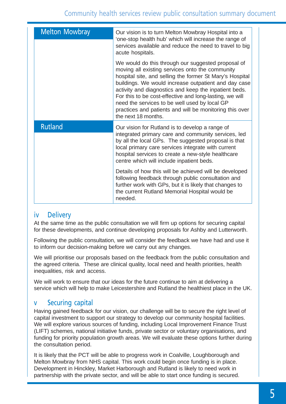| <b>Melton Mowbray</b> | Our vision is to turn Melton Mowbray Hospital into a<br>'one-stop health hub' which will increase the range of<br>services available and reduce the need to travel to big<br>acute hospitals.<br>We would do this through our suggested proposal of<br>moving all existing services onto the community<br>hospital site, and selling the former St Mary's Hospital<br>buildings. We would increase outpatient and day case<br>activity and diagnostics and keep the inpatient beds.<br>For this to be cost-effective and long-lasting, we will<br>need the services to be well used by local GP<br>practices and patients and will be monitoring this over<br>the next 18 months. |
|-----------------------|-----------------------------------------------------------------------------------------------------------------------------------------------------------------------------------------------------------------------------------------------------------------------------------------------------------------------------------------------------------------------------------------------------------------------------------------------------------------------------------------------------------------------------------------------------------------------------------------------------------------------------------------------------------------------------------|
| <b>Rutland</b>        | Our vision for Rutland is to develop a range of<br>integrated primary care and community services, led<br>by all the local GPs. The suggested proposal is that<br>local primary care services integrate with current<br>hospital services to create a new-style healthcare<br>centre which will include inpatient beds.                                                                                                                                                                                                                                                                                                                                                           |
|                       | Details of how this will be achieved will be developed<br>following feedback through public consultation and<br>further work with GPs, but it is likely that changes to<br>the current Rutland Memorial Hospital would be<br>needed.                                                                                                                                                                                                                                                                                                                                                                                                                                              |

## iv Delivery

At the same time as the public consultation we will firm up options for securing capital for these developments, and continue developing proposals for Ashby and Lutterworth.

Following the public consultation, we will consider the feedback we have had and use it to inform our decision-making before we carry out any changes.

We will prioritise our proposals based on the feedback from the public consultation and the agreed criteria. These are clinical quality, local need and health priorities, health inequalities, risk and access.

We will work to ensure that our ideas for the future continue to aim at delivering a service which will help to make Leicestershire and Rutland the healthiest place in the UK.

### v Securing capital

Having gained feedback for our vision, our challenge will be to secure the right level of capital investment to support our strategy to develop our community hospital facilities. We will explore various sources of funding, including Local Improvement Finance Trust (LIFT) schemes, national initiative funds, private sector or voluntary organisations, and funding for priority population growth areas. We will evaluate these options further during the consultation period.

It is likely that the PCT will be able to progress work in Coalville, Loughborough and Melton Mowbray from NHS capital. This work could begin once funding is in place. Development in Hinckley, Market Harborough and Rutland is likely to need work in partnership with the private sector, and will be able to start once funding is secured.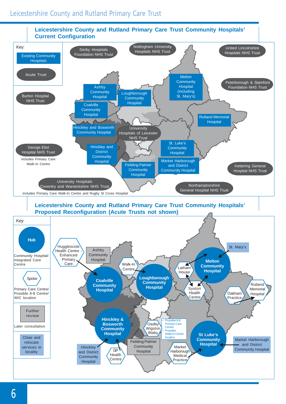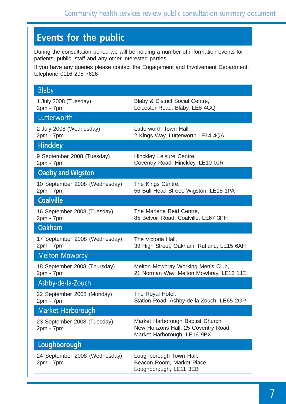## **Events for the public**

During the consultation period we will be holding a number of information events for patients, public, staff and any other interested parties.

If you have any queries please contact the Engagement and Involvement Department, telephone 0116 295 7626

| <b>Blaby</b>                                 |                                                                                                         |
|----------------------------------------------|---------------------------------------------------------------------------------------------------------|
| 1 July 2008 (Tuesday)<br>$2pm - 7pm$         | Blaby & District Social Centre,<br>Leicester Road, Blaby, LE8 4GQ                                       |
| Lutterworth                                  |                                                                                                         |
| 2 July 2008 (Wednesday)<br>$2pm - 7pm$       | Lutterworth Town Hall,<br>2 Kings Way, Lutterworth LE14 4QA                                             |
| <b>Hinckley</b>                              |                                                                                                         |
| 9 September 2008 (Tuesday)<br>$2pm - 7pm$    | Hinckley Leisure Centre,<br>Coventry Road, Hinckley, LE10 OJR                                           |
| <b>Oadby and Wigston</b>                     |                                                                                                         |
| 10 September 2008 (Wednesday)<br>$2pm - 7pm$ | The Kings Centre,<br>56 Bull Head Street, Wigston, LE18 1PA                                             |
| <b>Coalville</b>                             |                                                                                                         |
| 16 September 2008 (Tuesday)<br>$2pm - 7pm$   | The Marlene Reid Centre,<br>85 Belvoir Road, Coalville, LE67 3PH                                        |
| <b>Oakham</b>                                |                                                                                                         |
| 17 September 2008 (Wednesday)<br>$2pm - 7pm$ | The Victoria Hall,<br>39 High Street, Oakham, Rutland, LE15 6AH                                         |
| <b>Melton Mowbray</b>                        |                                                                                                         |
| 18 September 2008 (Thursday)<br>$2pm - 7pm$  | Melton Mowbray Working Men's Club,<br>21 Norman Way, Melton Mowbray, LE13 1JE                           |
| Ashby-de-la-Zouch                            |                                                                                                         |
| 22 September 2008 (Monday)<br>$2pm - 7pm$    | The Royal Hotel,<br>Station Road, Ashby-de-la-Zouch, LE65 2GP                                           |
| Market Harborough                            |                                                                                                         |
| 23 September 2008 (Tuesday)<br>$2pm - 7pm$   | Market Harborough Baptist Church<br>New Horizons Hall, 25 Coventry Road,<br>Market Harborough, LE16 9BX |
| Loughborough                                 |                                                                                                         |
| 24 September 2008 (Wednesday)<br>$2pm - 7pm$ | Loughborough Town Hall,<br>Beacon Room, Market Place,<br>Loughborough, LE11 3EB                         |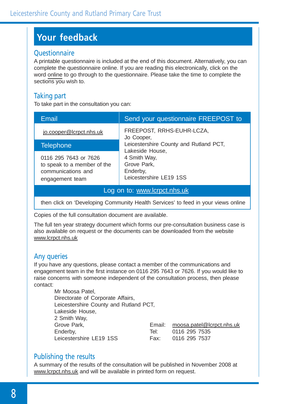## **Your feedback**

#### **Questionnaire**

A printable questionnaire is included at the end of this document. Alternatively, you can complete the questionnaire online. If you are reading this electronically, click on the word [online](http://surveys.kenthouse.com/index.php?survey_code=88582d31&login=1) to go through to the questionnaire. Please take the time to complete the sections you wish to.

### Taking part

To take part in the consultation you can:

| Email                                                                                         | Send your questionnaire FREEPOST to                                |
|-----------------------------------------------------------------------------------------------|--------------------------------------------------------------------|
| jo.cooper@lcrpct.nhs.uk                                                                       | FREEPOST, RRHS-EUHR-LCZA,<br>Jo Cooper,                            |
| <b>Telephone</b>                                                                              | Leicestershire County and Rutland PCT,<br>Lakeside House,          |
| 0116 295 7643 or 7626<br>to speak to a member of the<br>communications and<br>engagement team | 4 Smith Way,<br>Grove Park,<br>Enderby,<br>Leicestershire LE19 1SS |

#### Log on to: www.lcrpct.nhs.uk

then click on 'Developing Community Health Services' to feed in your views online

Copies of the full consultation document are available.

The full ten year strategy document which forms our pre-consultation business case is also available on request or the documents can be downloaded from the website www.lcrpct.nhs.uk

### Any queries

If you have any questions, please contact a member of the communications and engagement team in the first instance on 0116 295 7643 or 7626. If you would like to raise concerns with someone independent of the consultation process, then please contact:

Mr Moosa Patel, Directorate of Corporate Affairs, Leicestershire County and Rutland PCT, Lakeside House, 2 Smith Way, Grove Park, Email: moosa.patel@lcrpct.nhs.uk Enderby, Tel: 0116 295 7535 Leicestershire LE19 1SS Fax: 0116 295 7537

### Publishing the results

A summary of the results of the consultation will be published in November 2008 at www.lcrpct.nhs.uk and will be available in printed form on request.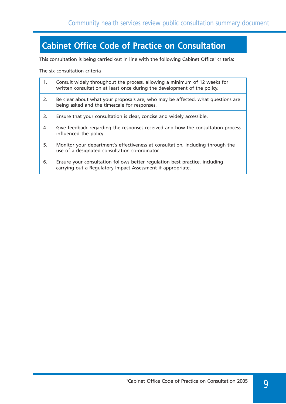## **Cabinet Office Code of Practice on Consultation**

This consultation is being carried out in line with the following Cabinet Office<sup>1</sup> criteria:

The six consultation criteria

| $\mathbf{1}$ . | Consult widely throughout the process, allowing a minimum of 12 weeks for<br>written consultation at least once during the development of the policy. |
|----------------|-------------------------------------------------------------------------------------------------------------------------------------------------------|
| 2.             | Be clear about what your proposals are, who may be affected, what questions are<br>being asked and the timescale for responses.                       |
| 3.             | Ensure that your consultation is clear, concise and widely accessible.                                                                                |
| 4.             | Give feedback regarding the responses received and how the consultation process<br>influenced the policy.                                             |
| 5.             | Monitor your department's effectiveness at consultation, including through the<br>use of a designated consultation co-ordinator.                      |
|                |                                                                                                                                                       |

6. Ensure your consultation follows better regulation best practice, including carrying out a Regulatory Impact Assessment if appropriate.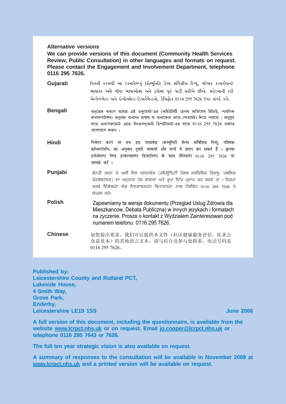#### **Alternative versions**

**We can provide versions of this document (Community Health Services Review, Public Consultation) in other languages and formats on request. Please contact the Engagement and Involvement Department, telephone 0116 295 7626.**

- **Gujarati** વિનંતી કરવાથી આ દસ્તાવેજનું (કોમ્યુનિટિ હેલ્થ સર્વિસીસ રિવ્યુ, પબ્લિક કન્સલ્ટેશન) ભાષાંતર અમે બીજી ભાષાઓમાં અને રૂપોમાં પૂરું પાડી શકીએ છીએ. મહેરબાની કરી એન્ગેજમેન્ટ અને ઇન્વોલમેન્ટ ડિપાર્ટમેન્ટનો. ટેલિકોન 0116 295 7626 ઉપર સંપર્ક કરો.
- **Bengali** অনুরোধ করলে আমরা এই ডকুমেন্ট'এর (কমিউনিটি হেলথ সার্ভিসেস রিভিউ, পাবলিক কনসালটেশন) অনুবাদ অন্যান্য ভাষায় বা অন্যকোন ভাবে (ফরমেট) দিতে পারবো । অনুগ্রহ করে এনগেজমেন্ট এ্যান্ড ইনভলবমেন্ট ডিপার্টমেন্ট'এর সাথে  $0116$  295 7626 নাম্বারে যোগাযোগ কৰুন ।
- **Hindi** निवेदन करने पर हम इस दस्तावेज़ (कम्यूनिटी हैल्थ सर्विसिज़ रिव्यू, पब्लिक कॉन्सल्टेशॅन) का अनुवाद दूसरी भाषायों और रूपों में प्रदान कर सकते हैं । कृपया इनोजंमण्ट ऐण्ड इन्वाल्वमण्ट डिपार्टमण्ट के साथ टैलिफोन 0116 295 7626 पर सम्पर्क करें ।
- **Punjabi** ਬੇਨਤੀ ਕਰਨ ਤੇ ਅਸੀਂ ਇਸ ਦਸਤਾਵੇਜ਼ (ਕਮਿੳਨਿਟੀ ਹੈਲਥ ਸਰਵਿਸਿਜ਼ ਰਿਵਯ, ਪਬਲਿਕ ਕੰਨਸੱਲਟੇਸ਼ਨ) ਦਾ ਅਨਵਾਦ ਹੋਰ ਭਾਸ਼ਾਵਾਂ ਅਤੇ ਰੂਪਾਂ ਵਿੱਚ ਪ੍ਰਦਾਨ ਕਰ ਸਕਦੇ ਹਾਂ । ਕਿਰਪਾ ,<br>ਕਰਕੇ ਇੰਗੇਜ਼ਮੰਟ ਐਂਡ ਇਨਵਾਲਵਮੰਟ ਡਿਪਾਰਟਮੰਟ ਨਾਲ ਟੈਲੀਫੋਨ 0116 295 7626 ਤੇ ਸੰਪਰਕ ਕਰੋ।
- **Polish** Zapewniamy ta wersje dokumentu (Przeglad Uslug Zdrowia dla Mieszkancow, Debata Publiczna) w innych jezykach i formatach na zyczenie. Prosze o kontakt z Wydzialem Zainteresowan pod numerem telefonu 0116 295 7626.
- **Chinese** 如您提出要求, 我们可以提供本文件(社区健康服务评估, 征求公 众意见本)的其他语言文本。请与结合及参与处联系, 电话号码是 0116 295 7626.

**Published by: Leicestershire County and Rutland PCT, Lakeside House, 4 Smith Way, Grove Park, Enderby, Leicestershire LE19 1SS** June 2008

**A full version of this document, including the questionnaire, is available from the website www.lcrpct.nhs.uk or on request. Email jo.cooper@lcrpct.nhs.uk or telephone 0116 295 7643 or 7626.**

**The full ten year strategic vision is also available on request.**

**A summary of responses to the consultation will be available in November 2008 at www.lcrpct.nhs.uk and a printed version will be available on request.**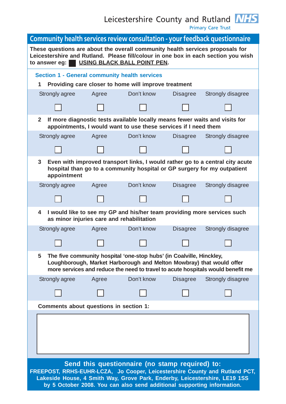Leicestershire County and Rutland

Primary Care Trust

|                                                                                                                                                                                                                                                                                         | <b>Community health services review consultation - your feedback questionnaire</b>                                                                                                                                  |                                           |                                                                                                                                                |                 |                                                                                 |
|-----------------------------------------------------------------------------------------------------------------------------------------------------------------------------------------------------------------------------------------------------------------------------------------|---------------------------------------------------------------------------------------------------------------------------------------------------------------------------------------------------------------------|-------------------------------------------|------------------------------------------------------------------------------------------------------------------------------------------------|-----------------|---------------------------------------------------------------------------------|
|                                                                                                                                                                                                                                                                                         | These questions are about the overall community health services proposals for<br>Leicestershire and Rutland. Please fill/colour in one box in each section you wish<br>USING BLACK BALL POINT PEN.<br>to answer eg: |                                           |                                                                                                                                                |                 |                                                                                 |
| 1                                                                                                                                                                                                                                                                                       |                                                                                                                                                                                                                     |                                           | <b>Section 1 - General community health services</b><br>Providing care closer to home will improve treatment                                   |                 |                                                                                 |
|                                                                                                                                                                                                                                                                                         | Strongly agree                                                                                                                                                                                                      | Agree                                     | Don't know                                                                                                                                     | <b>Disagree</b> | Strongly disagree                                                               |
|                                                                                                                                                                                                                                                                                         |                                                                                                                                                                                                                     |                                           |                                                                                                                                                |                 |                                                                                 |
| $\overline{2}$                                                                                                                                                                                                                                                                          |                                                                                                                                                                                                                     |                                           | If more diagnostic tests available locally means fewer waits and visits for<br>appointments, I would want to use these services if I need them |                 |                                                                                 |
|                                                                                                                                                                                                                                                                                         | Strongly agree                                                                                                                                                                                                      | Agree                                     | Don't know                                                                                                                                     | <b>Disagree</b> | Strongly disagree                                                               |
|                                                                                                                                                                                                                                                                                         |                                                                                                                                                                                                                     |                                           |                                                                                                                                                |                 |                                                                                 |
| $\mathbf{3}$                                                                                                                                                                                                                                                                            | appointment                                                                                                                                                                                                         |                                           | hospital than go to a community hospital or GP surgery for my outpatient                                                                       |                 | Even with improved transport links, I would rather go to a central city acute   |
|                                                                                                                                                                                                                                                                                         | Strongly agree                                                                                                                                                                                                      | Agree                                     | Don't know                                                                                                                                     | <b>Disagree</b> | Strongly disagree                                                               |
|                                                                                                                                                                                                                                                                                         |                                                                                                                                                                                                                     |                                           |                                                                                                                                                |                 |                                                                                 |
| 4                                                                                                                                                                                                                                                                                       |                                                                                                                                                                                                                     | as minor injuries care and rehabilitation | I would like to see my GP and his/her team providing more services such                                                                        |                 |                                                                                 |
|                                                                                                                                                                                                                                                                                         | Strongly agree                                                                                                                                                                                                      | Agree                                     | Don't know                                                                                                                                     | Disagree        | Strongly disagree                                                               |
|                                                                                                                                                                                                                                                                                         |                                                                                                                                                                                                                     |                                           |                                                                                                                                                |                 |                                                                                 |
| 5                                                                                                                                                                                                                                                                                       |                                                                                                                                                                                                                     |                                           | The five community hospital 'one-stop hubs' (in Coalville, Hinckley,<br>Loughborough, Market Harborough and Melton Mowbray) that would offer   |                 | more services and reduce the need to travel to acute hospitals would benefit me |
|                                                                                                                                                                                                                                                                                         | Strongly agree                                                                                                                                                                                                      | Agree                                     | Don't know                                                                                                                                     | <b>Disagree</b> | Strongly disagree                                                               |
|                                                                                                                                                                                                                                                                                         |                                                                                                                                                                                                                     |                                           |                                                                                                                                                |                 |                                                                                 |
|                                                                                                                                                                                                                                                                                         | Comments about questions in section 1:                                                                                                                                                                              |                                           |                                                                                                                                                |                 |                                                                                 |
|                                                                                                                                                                                                                                                                                         |                                                                                                                                                                                                                     |                                           |                                                                                                                                                |                 |                                                                                 |
| Send this questionnaire (no stamp required) to:<br>FREEPOST, RRHS-EUHR-LCZA, Jo Cooper, Leicestershire County and Rutland PCT,<br>Lakeside House, 4 Smith Way, Grove Park, Enderby, Leicestershire, LE19 1SS<br>by 5 October 2008. You can also send additional supporting information. |                                                                                                                                                                                                                     |                                           |                                                                                                                                                |                 |                                                                                 |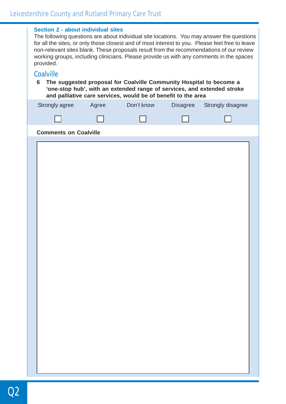| <b>Section 2 - about individual sites</b><br>The following questions are about individual site locations. You may answer the questions<br>for all the sites, or only those closest and of most interest to you. Please feel free to leave<br>non-relevant sites blank. These proposals result from the recommendations of our review<br>working groups, including clinicians. Please provide us with any comments in the spaces<br>provided. |       |                                                                                                                                                                                                                 |                 |                   |  |
|----------------------------------------------------------------------------------------------------------------------------------------------------------------------------------------------------------------------------------------------------------------------------------------------------------------------------------------------------------------------------------------------------------------------------------------------|-------|-----------------------------------------------------------------------------------------------------------------------------------------------------------------------------------------------------------------|-----------------|-------------------|--|
| <b>Coalville</b><br>6                                                                                                                                                                                                                                                                                                                                                                                                                        |       | The suggested proposal for Coalville Community Hospital to become a<br>'one-stop hub', with an extended range of services, and extended stroke<br>and palliative care services, would be of benefit to the area |                 |                   |  |
| Strongly agree                                                                                                                                                                                                                                                                                                                                                                                                                               | Agree | Don't know                                                                                                                                                                                                      | <b>Disagree</b> | Strongly disagree |  |
|                                                                                                                                                                                                                                                                                                                                                                                                                                              |       |                                                                                                                                                                                                                 |                 |                   |  |
| <b>Comments on Coalville</b>                                                                                                                                                                                                                                                                                                                                                                                                                 |       |                                                                                                                                                                                                                 |                 |                   |  |
|                                                                                                                                                                                                                                                                                                                                                                                                                                              |       |                                                                                                                                                                                                                 |                 |                   |  |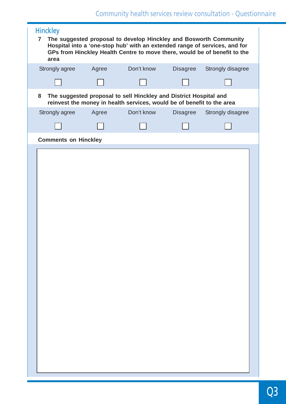| <b>Hinckley</b><br>The suggested proposal to develop Hinckley and Bosworth Community<br>7<br>Hospital into a 'one-stop hub' with an extended range of services, and for<br>GPs from Hinckley Health Centre to move there, would be of benefit to the<br>area |       |                                                                                                                                             |                 |                   |
|--------------------------------------------------------------------------------------------------------------------------------------------------------------------------------------------------------------------------------------------------------------|-------|---------------------------------------------------------------------------------------------------------------------------------------------|-----------------|-------------------|
| Strongly agree                                                                                                                                                                                                                                               | Agree | Don't know                                                                                                                                  | <b>Disagree</b> | Strongly disagree |
|                                                                                                                                                                                                                                                              |       |                                                                                                                                             |                 |                   |
| 8                                                                                                                                                                                                                                                            |       | The suggested proposal to sell Hinckley and District Hospital and<br>reinvest the money in health services, would be of benefit to the area |                 |                   |
| Strongly agree                                                                                                                                                                                                                                               | Agree | Don't know                                                                                                                                  | Disagree        | Strongly disagree |
|                                                                                                                                                                                                                                                              |       |                                                                                                                                             |                 |                   |
| <b>Comments on Hinckley</b>                                                                                                                                                                                                                                  |       |                                                                                                                                             |                 |                   |
|                                                                                                                                                                                                                                                              |       |                                                                                                                                             |                 |                   |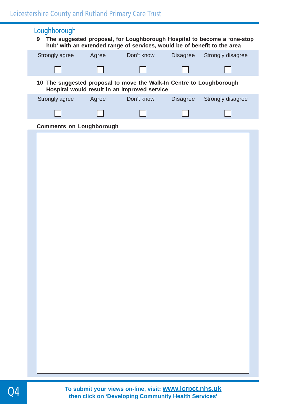| Loughborough<br>9               |       |                                                                                                                      |          | The suggested proposal, for Loughborough Hospital to become a 'one-stop |
|---------------------------------|-------|----------------------------------------------------------------------------------------------------------------------|----------|-------------------------------------------------------------------------|
| Strongly agree                  | Agree | hub' with an extended range of services, would be of benefit to the area<br>Don't know<br><b>CONTRACTOR</b>          |          | Disagree Strongly disagree                                              |
|                                 |       |                                                                                                                      |          |                                                                         |
|                                 |       |                                                                                                                      |          |                                                                         |
|                                 |       | 10 The suggested proposal to move the Walk-In Centre to Loughborough<br>Hospital would result in an improved service |          |                                                                         |
| Strongly agree                  | Agree | Don't know                                                                                                           | Disagree | Strongly disagree                                                       |
|                                 |       |                                                                                                                      |          |                                                                         |
| <b>Comments on Loughborough</b> |       |                                                                                                                      |          |                                                                         |
|                                 |       |                                                                                                                      |          |                                                                         |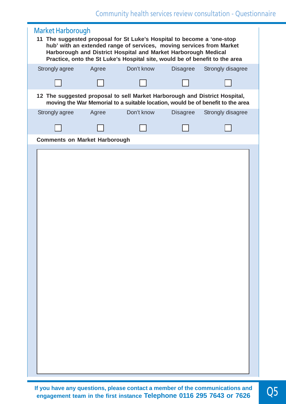## Community health services review consultation - Questionnaire

| <b>Market Harborough</b><br>11 The suggested proposal for St Luke's Hospital to become a 'one-stop<br>hub' with an extended range of services, moving services from Market<br>Harborough and District Hospital and Market Harborough Medical<br>Practice, onto the St Luke's Hospital site, would be of benefit to the area |       |                                                                            |                 |                                                                                 |
|-----------------------------------------------------------------------------------------------------------------------------------------------------------------------------------------------------------------------------------------------------------------------------------------------------------------------------|-------|----------------------------------------------------------------------------|-----------------|---------------------------------------------------------------------------------|
| Strongly agree                                                                                                                                                                                                                                                                                                              | Agree | Don't know                                                                 | Disagree        | Strongly disagree                                                               |
|                                                                                                                                                                                                                                                                                                                             |       |                                                                            |                 |                                                                                 |
|                                                                                                                                                                                                                                                                                                                             |       | 12 The suggested proposal to sell Market Harborough and District Hospital, |                 | moving the War Memorial to a suitable location, would be of benefit to the area |
| Strongly agree                                                                                                                                                                                                                                                                                                              | Agree | Don't know                                                                 | <b>Disagree</b> | Strongly disagree                                                               |
|                                                                                                                                                                                                                                                                                                                             |       |                                                                            |                 |                                                                                 |
| <b>Comments on Market Harborough</b>                                                                                                                                                                                                                                                                                        |       |                                                                            |                 |                                                                                 |
|                                                                                                                                                                                                                                                                                                                             |       |                                                                            |                 |                                                                                 |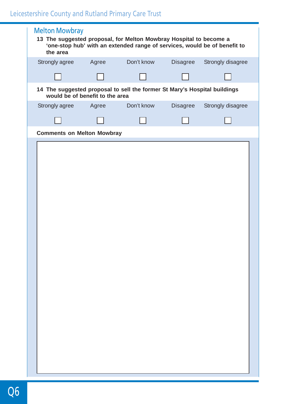| <b>Melton Mowbray</b><br>the area |                                 | 13 The suggested proposal, for Melton Mowbray Hospital to become a<br>'one-stop hub' with an extended range of services, would be of benefit to |          |                   |
|-----------------------------------|---------------------------------|-------------------------------------------------------------------------------------------------------------------------------------------------|----------|-------------------|
| Strongly agree                    | Agree                           | Don't know                                                                                                                                      | Disagree | Strongly disagree |
|                                   |                                 |                                                                                                                                                 |          |                   |
|                                   | would be of benefit to the area | 14 The suggested proposal to sell the former St Mary's Hospital buildings                                                                       |          |                   |
|                                   |                                 | Strongly agree Agree Don't know                                                                                                                 | Disagree | Strongly disagree |
|                                   |                                 |                                                                                                                                                 |          |                   |
| <b>Comments on Melton Mowbray</b> |                                 |                                                                                                                                                 |          |                   |
|                                   |                                 |                                                                                                                                                 |          |                   |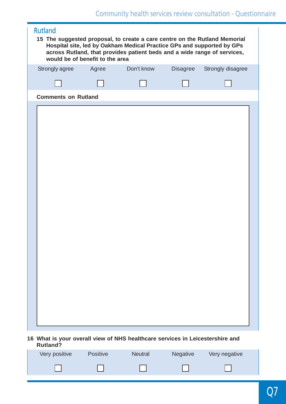| <b>Rutland</b><br>15 The suggested proposal, to create a care centre on the Rutland Memorial<br>Hospital site, led by Oakham Medical Practice GPs and supported by GPs<br>across Rutland, that provides patient beds and a wide range of services,<br>would be of benefit to the area |       |            |          |                   |  |  |  |  |  |
|---------------------------------------------------------------------------------------------------------------------------------------------------------------------------------------------------------------------------------------------------------------------------------------|-------|------------|----------|-------------------|--|--|--|--|--|
| Strongly agree                                                                                                                                                                                                                                                                        | Agree | Don't know | Disagree | Strongly disagree |  |  |  |  |  |
|                                                                                                                                                                                                                                                                                       |       |            |          |                   |  |  |  |  |  |
| <b>Comments on Rutland</b>                                                                                                                                                                                                                                                            |       |            |          |                   |  |  |  |  |  |
|                                                                                                                                                                                                                                                                                       |       |            |          |                   |  |  |  |  |  |
|                                                                                                                                                                                                                                                                                       |       |            |          |                   |  |  |  |  |  |
|                                                                                                                                                                                                                                                                                       |       |            |          |                   |  |  |  |  |  |
|                                                                                                                                                                                                                                                                                       |       |            |          |                   |  |  |  |  |  |
|                                                                                                                                                                                                                                                                                       |       |            |          |                   |  |  |  |  |  |
|                                                                                                                                                                                                                                                                                       |       |            |          |                   |  |  |  |  |  |
|                                                                                                                                                                                                                                                                                       |       |            |          |                   |  |  |  |  |  |
|                                                                                                                                                                                                                                                                                       |       |            |          |                   |  |  |  |  |  |
|                                                                                                                                                                                                                                                                                       |       |            |          |                   |  |  |  |  |  |
|                                                                                                                                                                                                                                                                                       |       |            |          |                   |  |  |  |  |  |
|                                                                                                                                                                                                                                                                                       |       |            |          |                   |  |  |  |  |  |
|                                                                                                                                                                                                                                                                                       |       |            |          |                   |  |  |  |  |  |
|                                                                                                                                                                                                                                                                                       |       |            |          |                   |  |  |  |  |  |
|                                                                                                                                                                                                                                                                                       |       |            |          |                   |  |  |  |  |  |
|                                                                                                                                                                                                                                                                                       |       |            |          |                   |  |  |  |  |  |
|                                                                                                                                                                                                                                                                                       |       |            |          |                   |  |  |  |  |  |
|                                                                                                                                                                                                                                                                                       |       |            |          |                   |  |  |  |  |  |
|                                                                                                                                                                                                                                                                                       |       |            |          |                   |  |  |  |  |  |

#### **16 What is your overall view of NHS healthcare services in Leicestershire and Rutland?**

| Very positive | <b>Positive</b> | <b>Neutral</b> | Negative | Very negative |
|---------------|-----------------|----------------|----------|---------------|
|               |                 |                |          |               |